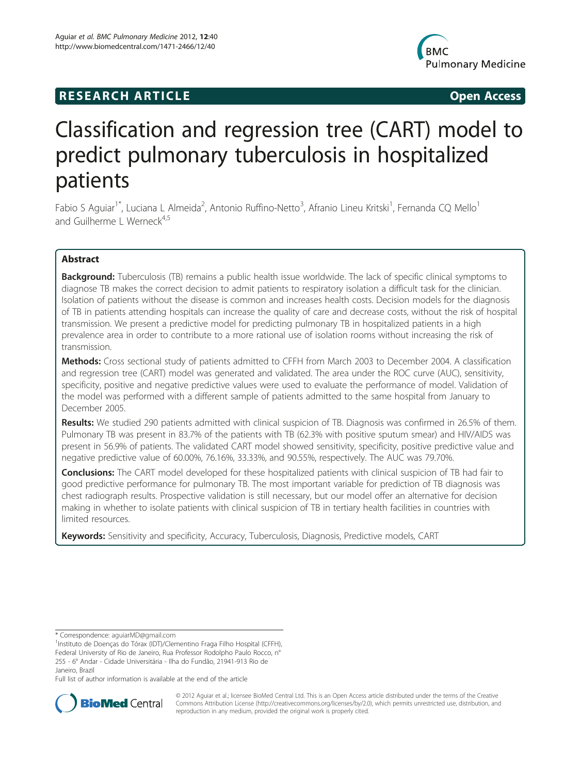# **RESEARCH ARTICLE CONSUMING A RESEARCH ARTICLE**



# Classification and regression tree (CART) model to predict pulmonary tuberculosis in hospitalized patients

Fabio S Aguiar<sup>1\*</sup>, Luciana L Almeida<sup>2</sup>, Antonio Ruffino-Netto<sup>3</sup>, Afranio Lineu Kritski<sup>1</sup>, Fernanda CQ Mello<sup>1</sup> and Guilherme L Werneck $4,5$ 

# Abstract

Background: Tuberculosis (TB) remains a public health issue worldwide. The lack of specific clinical symptoms to diagnose TB makes the correct decision to admit patients to respiratory isolation a difficult task for the clinician. Isolation of patients without the disease is common and increases health costs. Decision models for the diagnosis of TB in patients attending hospitals can increase the quality of care and decrease costs, without the risk of hospital transmission. We present a predictive model for predicting pulmonary TB in hospitalized patients in a high prevalence area in order to contribute to a more rational use of isolation rooms without increasing the risk of transmission.

Methods: Cross sectional study of patients admitted to CFFH from March 2003 to December 2004. A classification and regression tree (CART) model was generated and validated. The area under the ROC curve (AUC), sensitivity, specificity, positive and negative predictive values were used to evaluate the performance of model. Validation of the model was performed with a different sample of patients admitted to the same hospital from January to December 2005.

Results: We studied 290 patients admitted with clinical suspicion of TB. Diagnosis was confirmed in 26.5% of them. Pulmonary TB was present in 83.7% of the patients with TB (62.3% with positive sputum smear) and HIV/AIDS was present in 56.9% of patients. The validated CART model showed sensitivity, specificity, positive predictive value and negative predictive value of 60.00%, 76.16%, 33.33%, and 90.55%, respectively. The AUC was 79.70%.

Conclusions: The CART model developed for these hospitalized patients with clinical suspicion of TB had fair to good predictive performance for pulmonary TB. The most important variable for prediction of TB diagnosis was chest radiograph results. Prospective validation is still necessary, but our model offer an alternative for decision making in whether to isolate patients with clinical suspicion of TB in tertiary health facilities in countries with limited resources.

Keywords: Sensitivity and specificity, Accuracy, Tuberculosis, Diagnosis, Predictive models, CART

\* Correspondence: [aguiarMD@gmail.com](mailto:aguiarMD@gmail.com) <sup>1</sup>

Full list of author information is available at the end of the article



© 2012 Aguiar et al.; licensee BioMed Central Ltd. This is an Open Access article distributed under the terms of the Creative Commons Attribution License [\(http://creativecommons.org/licenses/by/2.0\)](http://creativecommons.org/licenses/by/2.0), which permits unrestricted use, distribution, and reproduction in any medium, provided the original work is properly cited.

<sup>&</sup>lt;sup>1</sup>Instituto de Doenças do Tórax (IDT)/Clementino Fraga Filho Hospital (CFFH), Federal University of Rio de Janeiro, Rua Professor Rodolpho Paulo Rocco, n° 255 - 6° Andar - Cidade Universitária - Ilha do Fundão, 21941-913 Rio de Janeiro, Brazil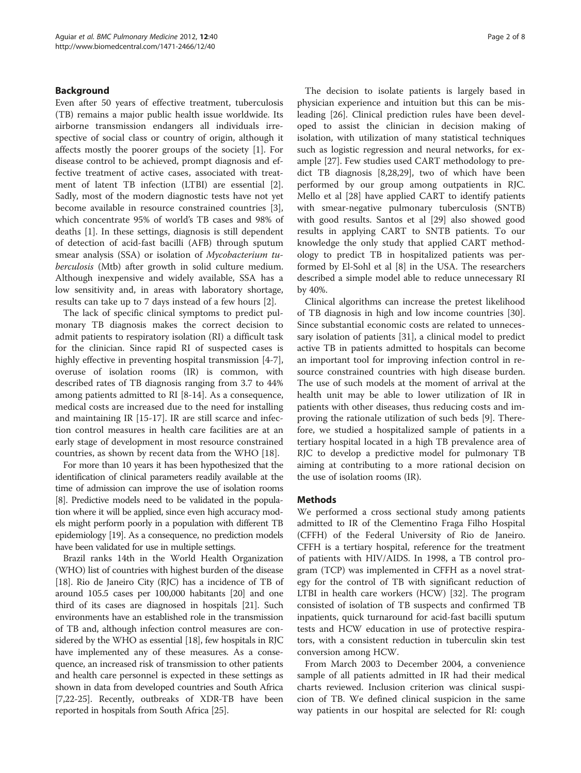# Background

Even after 50 years of effective treatment, tuberculosis (TB) remains a major public health issue worldwide. Its airborne transmission endangers all individuals irrespective of social class or country of origin, although it affects mostly the poorer groups of the society [\[1](#page-6-0)]. For disease control to be achieved, prompt diagnosis and effective treatment of active cases, associated with treatment of latent TB infection (LTBI) are essential [\[2](#page-6-0)]. Sadly, most of the modern diagnostic tests have not yet become available in resource constrained countries [\[3](#page-6-0)], which concentrate 95% of world's TB cases and 98% of deaths [[1\]](#page-6-0). In these settings, diagnosis is still dependent of detection of acid-fast bacilli (AFB) through sputum smear analysis (SSA) or isolation of Mycobacterium tuberculosis (Mtb) after growth in solid culture medium. Although inexpensive and widely available, SSA has a low sensitivity and, in areas with laboratory shortage, results can take up to 7 days instead of a few hours [\[2](#page-6-0)].

The lack of specific clinical symptoms to predict pulmonary TB diagnosis makes the correct decision to admit patients to respiratory isolation (RI) a difficult task for the clinician. Since rapid RI of suspected cases is highly effective in preventing hospital transmission [[4-7](#page-6-0)], overuse of isolation rooms (IR) is common, with described rates of TB diagnosis ranging from 3.7 to 44% among patients admitted to RI [[8](#page-6-0)-[14\]](#page-6-0). As a consequence, medical costs are increased due to the need for installing and maintaining IR [[15-17\]](#page-6-0). IR are still scarce and infection control measures in health care facilities are at an early stage of development in most resource constrained countries, as shown by recent data from the WHO [\[18](#page-6-0)].

For more than 10 years it has been hypothesized that the identification of clinical parameters readily available at the time of admission can improve the use of isolation rooms [[8](#page-6-0)]. Predictive models need to be validated in the population where it will be applied, since even high accuracy models might perform poorly in a population with different TB epidemiology [[19\]](#page-7-0). As a consequence, no prediction models have been validated for use in multiple settings.

Brazil ranks 14th in the World Health Organization (WHO) list of countries with highest burden of the disease [[18](#page-6-0)]. Rio de Janeiro City (RJC) has a incidence of TB of around 105.5 cases per 100,000 habitants [[20\]](#page-7-0) and one third of its cases are diagnosed in hospitals [\[21\]](#page-7-0). Such environments have an established role in the transmission of TB and, although infection control measures are considered by the WHO as essential [[18\]](#page-6-0), few hospitals in RJC have implemented any of these measures. As a consequence, an increased risk of transmission to other patients and health care personnel is expected in these settings as shown in data from developed countries and South Africa [[7,](#page-6-0)[22](#page-7-0)-[25](#page-7-0)]. Recently, outbreaks of XDR-TB have been reported in hospitals from South Africa [[25](#page-7-0)].

The decision to isolate patients is largely based in physician experience and intuition but this can be misleading [[26](#page-7-0)]. Clinical prediction rules have been developed to assist the clinician in decision making of isolation, with utilization of many statistical techniques such as logistic regression and neural networks, for example [[27](#page-7-0)]. Few studies used CART methodology to predict TB diagnosis [\[8](#page-6-0)[,28,29](#page-7-0)], two of which have been performed by our group among outpatients in RJC. Mello et al [[28](#page-7-0)] have applied CART to identify patients with smear-negative pulmonary tuberculosis (SNTB) with good results. Santos et al [[29\]](#page-7-0) also showed good results in applying CART to SNTB patients. To our knowledge the only study that applied CART methodology to predict TB in hospitalized patients was performed by El-Sohl et al [[8](#page-6-0)] in the USA. The researchers described a simple model able to reduce unnecessary RI by 40%.

Clinical algorithms can increase the pretest likelihood of TB diagnosis in high and low income countries [\[30](#page-7-0)]. Since substantial economic costs are related to unnecessary isolation of patients [[31\]](#page-7-0), a clinical model to predict active TB in patients admitted to hospitals can become an important tool for improving infection control in resource constrained countries with high disease burden. The use of such models at the moment of arrival at the health unit may be able to lower utilization of IR in patients with other diseases, thus reducing costs and improving the rationale utilization of such beds [\[9](#page-6-0)]. Therefore, we studied a hospitalized sample of patients in a tertiary hospital located in a high TB prevalence area of RJC to develop a predictive model for pulmonary TB aiming at contributing to a more rational decision on the use of isolation rooms (IR).

### Methods

We performed a cross sectional study among patients admitted to IR of the Clementino Fraga Filho Hospital (CFFH) of the Federal University of Rio de Janeiro. CFFH is a tertiary hospital, reference for the treatment of patients with HIV/AIDS. In 1998, a TB control program (TCP) was implemented in CFFH as a novel strategy for the control of TB with significant reduction of LTBI in health care workers (HCW) [[32](#page-7-0)]. The program consisted of isolation of TB suspects and confirmed TB inpatients, quick turnaround for acid-fast bacilli sputum tests and HCW education in use of protective respirators, with a consistent reduction in tuberculin skin test conversion among HCW.

From March 2003 to December 2004, a convenience sample of all patients admitted in IR had their medical charts reviewed. Inclusion criterion was clinical suspicion of TB. We defined clinical suspicion in the same way patients in our hospital are selected for RI: cough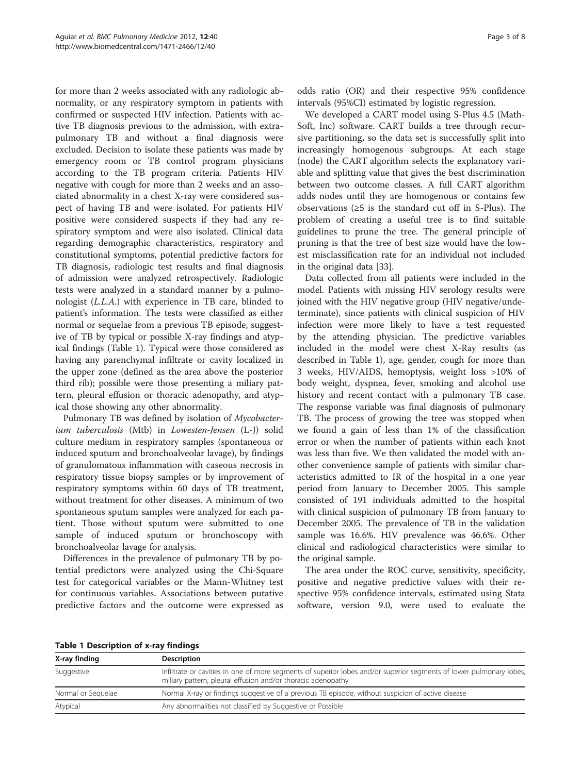for more than 2 weeks associated with any radiologic abnormality, or any respiratory symptom in patients with confirmed or suspected HIV infection. Patients with active TB diagnosis previous to the admission, with extrapulmonary TB and without a final diagnosis were excluded. Decision to isolate these patients was made by emergency room or TB control program physicians according to the TB program criteria. Patients HIV negative with cough for more than 2 weeks and an associated abnormality in a chest X-ray were considered suspect of having TB and were isolated. For patients HIV positive were considered suspects if they had any respiratory symptom and were also isolated. Clinical data regarding demographic characteristics, respiratory and constitutional symptoms, potential predictive factors for TB diagnosis, radiologic test results and final diagnosis of admission were analyzed retrospectively. Radiologic tests were analyzed in a standard manner by a pulmonologist (L.L.A.) with experience in TB care, blinded to patient's information. The tests were classified as either normal or sequelae from a previous TB episode, suggestive of TB by typical or possible X-ray findings and atypical findings (Table 1). Typical were those considered as having any parenchymal infiltrate or cavity localized in the upper zone (defined as the area above the posterior third rib); possible were those presenting a miliary pattern, pleural effusion or thoracic adenopathy, and atypical those showing any other abnormality.

Pulmonary TB was defined by isolation of Mycobacterium tuberculosis (Mtb) in Lowesten-Jensen (L-J) solid culture medium in respiratory samples (spontaneous or induced sputum and bronchoalveolar lavage), by findings of granulomatous inflammation with caseous necrosis in respiratory tissue biopsy samples or by improvement of respiratory symptoms within 60 days of TB treatment, without treatment for other diseases. A minimum of two spontaneous sputum samples were analyzed for each patient. Those without sputum were submitted to one sample of induced sputum or bronchoscopy with bronchoalveolar lavage for analysis.

Differences in the prevalence of pulmonary TB by potential predictors were analyzed using the Chi-Square test for categorical variables or the Mann-Whitney test for continuous variables. Associations between putative predictive factors and the outcome were expressed as

odds ratio (OR) and their respective 95% confidence intervals (95%CI) estimated by logistic regression.

We developed a CART model using S-Plus 4.5 (Math-Soft, Inc) software. CART builds a tree through recursive partitioning, so the data set is successfully split into increasingly homogenous subgroups. At each stage (node) the CART algorithm selects the explanatory variable and splitting value that gives the best discrimination between two outcome classes. A full CART algorithm adds nodes until they are homogenous or contains few observations (≥5 is the standard cut off in S-Plus). The problem of creating a useful tree is to find suitable guidelines to prune the tree. The general principle of pruning is that the tree of best size would have the lowest misclassification rate for an individual not included in the original data [[33](#page-7-0)].

Data collected from all patients were included in the model. Patients with missing HIV serology results were joined with the HIV negative group (HIV negative/undeterminate), since patients with clinical suspicion of HIV infection were more likely to have a test requested by the attending physician. The predictive variables included in the model were chest X-Ray results (as described in Table 1), age, gender, cough for more than 3 weeks, HIV/AIDS, hemoptysis, weight loss >10% of body weight, dyspnea, fever, smoking and alcohol use history and recent contact with a pulmonary TB case. The response variable was final diagnosis of pulmonary TB. The process of growing the tree was stopped when we found a gain of less than 1% of the classification error or when the number of patients within each knot was less than five. We then validated the model with another convenience sample of patients with similar characteristics admitted to IR of the hospital in a one year period from January to December 2005. This sample consisted of 191 individuals admitted to the hospital with clinical suspicion of pulmonary TB from January to December 2005. The prevalence of TB in the validation sample was 16.6%. HIV prevalence was 46.6%. Other clinical and radiological characteristics were similar to the original sample.

The area under the ROC curve, sensitivity, specificity, positive and negative predictive values with their respective 95% confidence intervals, estimated using Stata software, version 9.0, were used to evaluate the

|  | Table 1 Description of x-ray findings |  |  |
|--|---------------------------------------|--|--|
|--|---------------------------------------|--|--|

| X-ray finding      | <b>Description</b>                                                                                                                                                                  |  |  |
|--------------------|-------------------------------------------------------------------------------------------------------------------------------------------------------------------------------------|--|--|
| Suggestive         | Infiltrate or cavities in one of more segments of superior lobes and/or superior segments of lower pulmonary lobes,<br>miliary pattern, pleural effusion and/or thoracic adenopathy |  |  |
| Normal or Sequelae | Normal X-ray or findings suggestive of a previous TB episode, without suspicion of active disease                                                                                   |  |  |
| Atypical           | Any abnormalities not classified by Suggestive or Possible                                                                                                                          |  |  |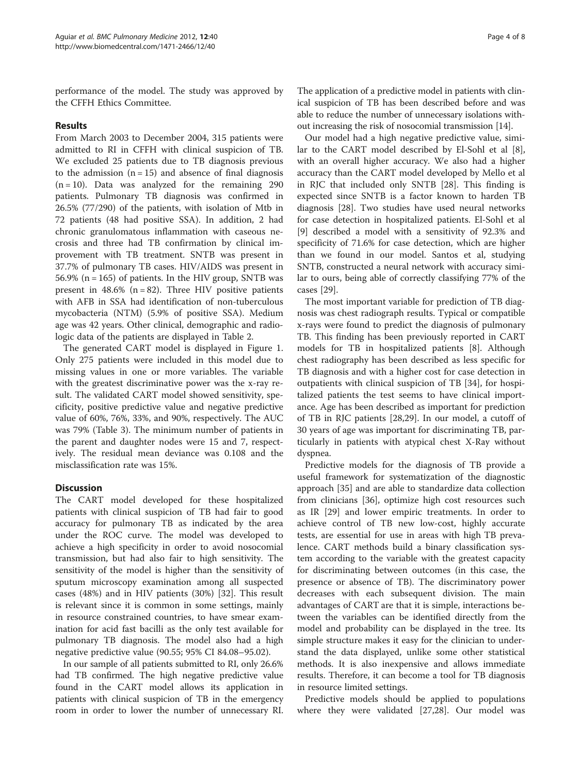performance of the model. The study was approved by the CFFH Ethics Committee.

# Results

From March 2003 to December 2004, 315 patients were admitted to RI in CFFH with clinical suspicion of TB. We excluded 25 patients due to TB diagnosis previous to the admission  $(n = 15)$  and absence of final diagnosis  $(n = 10)$ . Data was analyzed for the remaining 290 patients. Pulmonary TB diagnosis was confirmed in 26.5% (77/290) of the patients, with isolation of Mtb in 72 patients (48 had positive SSA). In addition, 2 had chronic granulomatous inflammation with caseous necrosis and three had TB confirmation by clinical improvement with TB treatment. SNTB was present in 37.7% of pulmonary TB cases. HIV/AIDS was present in 56.9% ( $n = 165$ ) of patients. In the HIV group, SNTB was present in  $48.6\%$  (n = 82). Three HIV positive patients with AFB in SSA had identification of non-tuberculous mycobacteria (NTM) (5.9% of positive SSA). Medium age was 42 years. Other clinical, demographic and radiologic data of the patients are displayed in Table [2.](#page-4-0)

The generated CART model is displayed in Figure [1](#page-5-0). Only 275 patients were included in this model due to missing values in one or more variables. The variable with the greatest discriminative power was the x-ray result. The validated CART model showed sensitivity, specificity, positive predictive value and negative predictive value of 60%, 76%, 33%, and 90%, respectively. The AUC was 79% (Table [3\)](#page-5-0). The minimum number of patients in the parent and daughter nodes were 15 and 7, respectively. The residual mean deviance was 0.108 and the misclassification rate was 15%.

# Discussion

The CART model developed for these hospitalized patients with clinical suspicion of TB had fair to good accuracy for pulmonary TB as indicated by the area under the ROC curve. The model was developed to achieve a high specificity in order to avoid nosocomial transmission, but had also fair to high sensitivity. The sensitivity of the model is higher than the sensitivity of sputum microscopy examination among all suspected cases (48%) and in HIV patients (30%) [[32](#page-7-0)]. This result is relevant since it is common in some settings, mainly in resource constrained countries, to have smear examination for acid fast bacilli as the only test available for pulmonary TB diagnosis. The model also had a high negative predictive value (90.55; 95% CI 84.08–95.02).

In our sample of all patients submitted to RI, only 26.6% had TB confirmed. The high negative predictive value found in the CART model allows its application in patients with clinical suspicion of TB in the emergency room in order to lower the number of unnecessary RI.

The application of a predictive model in patients with clinical suspicion of TB has been described before and was able to reduce the number of unnecessary isolations without increasing the risk of nosocomial transmission [\[14\]](#page-6-0).

Our model had a high negative predictive value, similar to the CART model described by El-Sohl et al [\[8](#page-6-0)], with an overall higher accuracy. We also had a higher accuracy than the CART model developed by Mello et al in RJC that included only SNTB [\[28](#page-7-0)]. This finding is expected since SNTB is a factor known to harden TB diagnosis [[28\]](#page-7-0). Two studies have used neural networks for case detection in hospitalized patients. El-Sohl et al [[9\]](#page-6-0) described a model with a sensitivity of 92.3% and specificity of 71.6% for case detection, which are higher than we found in our model. Santos et al, studying SNTB, constructed a neural network with accuracy similar to ours, being able of correctly classifying 77% of the cases [[29\]](#page-7-0).

The most important variable for prediction of TB diagnosis was chest radiograph results. Typical or compatible x-rays were found to predict the diagnosis of pulmonary TB. This finding has been previously reported in CART models for TB in hospitalized patients [\[8](#page-6-0)]. Although chest radiography has been described as less specific for TB diagnosis and with a higher cost for case detection in outpatients with clinical suspicion of TB [\[34](#page-7-0)], for hospitalized patients the test seems to have clinical importance. Age has been described as important for prediction of TB in RJC patients [[28,29\]](#page-7-0). In our model, a cutoff of 30 years of age was important for discriminating TB, particularly in patients with atypical chest X-Ray without dyspnea.

Predictive models for the diagnosis of TB provide a useful framework for systematization of the diagnostic approach [[35](#page-7-0)] and are able to standardize data collection from clinicians [\[36](#page-7-0)], optimize high cost resources such as IR [[29\]](#page-7-0) and lower empiric treatments. In order to achieve control of TB new low-cost, highly accurate tests, are essential for use in areas with high TB prevalence. CART methods build a binary classification system according to the variable with the greatest capacity for discriminating between outcomes (in this case, the presence or absence of TB). The discriminatory power decreases with each subsequent division. The main advantages of CART are that it is simple, interactions between the variables can be identified directly from the model and probability can be displayed in the tree. Its simple structure makes it easy for the clinician to understand the data displayed, unlike some other statistical methods. It is also inexpensive and allows immediate results. Therefore, it can become a tool for TB diagnosis in resource limited settings.

Predictive models should be applied to populations where they were validated [\[27,28](#page-7-0)]. Our model was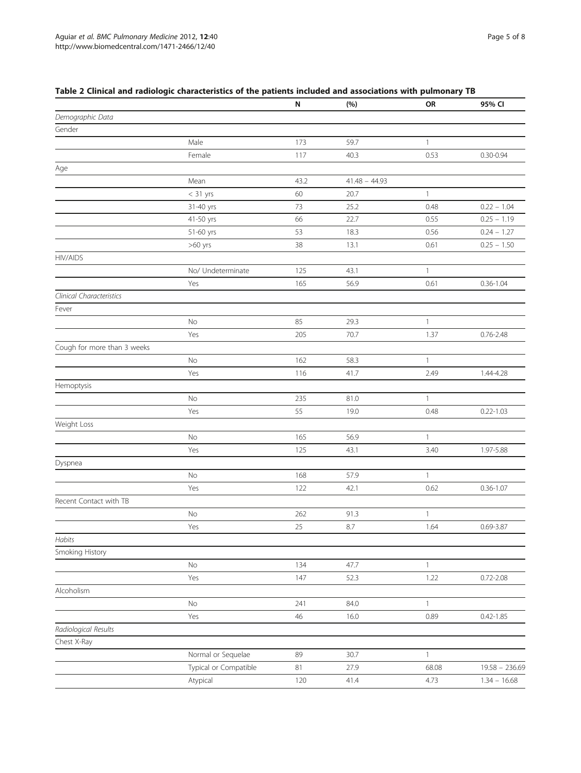|                             |                       | N      | (%)             | OR           | 95% CI           |
|-----------------------------|-----------------------|--------|-----------------|--------------|------------------|
| Demographic Data            |                       |        |                 |              |                  |
| Gender                      |                       |        |                 |              |                  |
|                             | Male                  | 173    | 59.7            | $\mathbf{1}$ |                  |
|                             | Female                | 117    | 40.3            | 0.53         | $0.30 - 0.94$    |
| Age                         |                       |        |                 |              |                  |
|                             | Mean                  | 43.2   | $41.48 - 44.93$ |              |                  |
|                             | $< 31$ yrs            | 60     | 20.7            | $\mathbf{1}$ |                  |
|                             | 31-40 yrs             | 73     | 25.2            | 0.48         | $0.22 - 1.04$    |
|                             | 41-50 yrs             | 66     | 22.7            | 0.55         | $0.25 - 1.19$    |
|                             | 51-60 yrs             | 53     | 18.3            | 0.56         | $0.24 - 1.27$    |
|                             | $>60$ yrs             | 38     | 13.1            | 0.61         | $0.25 - 1.50$    |
| <b>HIV/AIDS</b>             |                       |        |                 |              |                  |
|                             | No/ Undeterminate     | 125    | 43.1            | $\mathbf{1}$ |                  |
|                             | Yes                   | 165    | 56.9            | 0.61         | $0.36 - 1.04$    |
| Clinical Characteristics    |                       |        |                 |              |                  |
| Fever                       |                       |        |                 |              |                  |
|                             | No                    | 85     | 29.3            | $\mathbf{1}$ |                  |
|                             | Yes                   | 205    | 70.7            | 1.37         | $0.76 - 2.48$    |
| Cough for more than 3 weeks |                       |        |                 |              |                  |
|                             | No                    | 162    | 58.3            | $\mathbf{1}$ |                  |
|                             | Yes                   | 116    | 41.7            | 2.49         | 1.44-4.28        |
| Hemoptysis                  |                       |        |                 |              |                  |
|                             | No                    | 235    | 81.0            | $\mathbf{1}$ |                  |
|                             | Yes                   | 55     | 19.0            | 0.48         | $0.22 - 1.03$    |
| Weight Loss                 |                       |        |                 |              |                  |
|                             | No                    | 165    | 56.9            | $\mathbf{1}$ |                  |
|                             | Yes                   | 125    | 43.1            | 3.40         | 1.97-5.88        |
| Dyspnea                     |                       |        |                 |              |                  |
|                             | No                    | 168    | 57.9            | $\mathbf{1}$ |                  |
|                             | Yes                   | 122    | 42.1            | 0.62         | $0.36 - 1.07$    |
| Recent Contact with TB      |                       |        |                 |              |                  |
|                             | No                    | 262    | 91.3            | $\mathbf{1}$ |                  |
|                             | Yes                   | 25     | $8.7\,$         | 1.64         | 0.69-3.87        |
| Habits                      |                       |        |                 |              |                  |
| Smoking History             |                       |        |                 |              |                  |
|                             | $\rm No$              | 134    | 47.7            | $\mathbf{1}$ |                  |
|                             | Yes                   | 147    | 52.3            | 1.22         | $0.72 - 2.08$    |
| Alcoholism                  |                       |        |                 |              |                  |
|                             | No                    | 241    | 84.0            | $\mathbf{1}$ |                  |
|                             | Yes                   | $46\,$ | 16.0            | 0.89         | $0.42 - 1.85$    |
| Radiological Results        |                       |        |                 |              |                  |
| Chest X-Ray                 |                       |        |                 |              |                  |
|                             | Normal or Sequelae    | 89     | 30.7            | $\mathbf{1}$ |                  |
|                             | Typical or Compatible | 81     | 27.9            | 68.08        | $19.58 - 236.69$ |
|                             | Atypical              | 120    | 41.4            | 4.73         | $1.34 - 16.68$   |
|                             |                       |        |                 |              |                  |

# <span id="page-4-0"></span>Table 2 Clinical and radiologic characteristics of the patients included and associations with pulmonary TB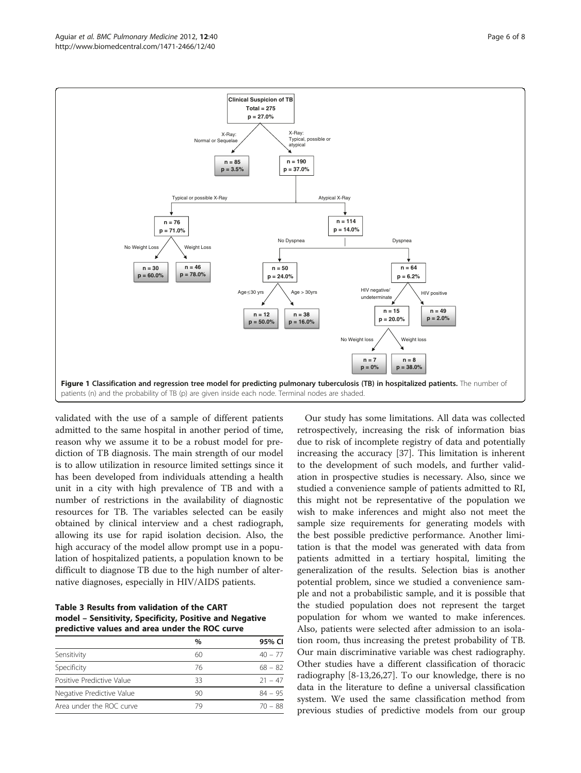<span id="page-5-0"></span>

validated with the use of a sample of different patients admitted to the same hospital in another period of time, reason why we assume it to be a robust model for prediction of TB diagnosis. The main strength of our model is to allow utilization in resource limited settings since it has been developed from individuals attending a health unit in a city with high prevalence of TB and with a number of restrictions in the availability of diagnostic resources for TB. The variables selected can be easily obtained by clinical interview and a chest radiograph, allowing its use for rapid isolation decision. Also, the high accuracy of the model allow prompt use in a population of hospitalized patients, a population known to be difficult to diagnose TB due to the high number of alternative diagnoses, especially in HIV/AIDS patients.

Table 3 Results from validation of the CART model – Sensitivity, Specificity, Positive and Negative predictive values and area under the ROC curve

| %  | 95% CI    |
|----|-----------|
| 60 | $40 - 77$ |
| 76 | $68 - 82$ |
| 33 | $21 - 47$ |
| 90 | $84 - 95$ |
| 79 | 70 – 88   |
|    |           |

Our study has some limitations. All data was collected retrospectively, increasing the risk of information bias due to risk of incomplete registry of data and potentially increasing the accuracy [\[37](#page-7-0)]. This limitation is inherent to the development of such models, and further validation in prospective studies is necessary. Also, since we studied a convenience sample of patients admitted to RI, this might not be representative of the population we wish to make inferences and might also not meet the sample size requirements for generating models with the best possible predictive performance. Another limitation is that the model was generated with data from patients admitted in a tertiary hospital, limiting the generalization of the results. Selection bias is another potential problem, since we studied a convenience sample and not a probabilistic sample, and it is possible that the studied population does not represent the target population for whom we wanted to make inferences. Also, patients were selected after admission to an isolation room, thus increasing the pretest probability of TB. Our main discriminative variable was chest radiography. Other studies have a different classification of thoracic radiography [\[8](#page-6-0)-[13](#page-6-0),[26](#page-7-0),[27](#page-7-0)]. To our knowledge, there is no data in the literature to define a universal classification system. We used the same classification method from previous studies of predictive models from our group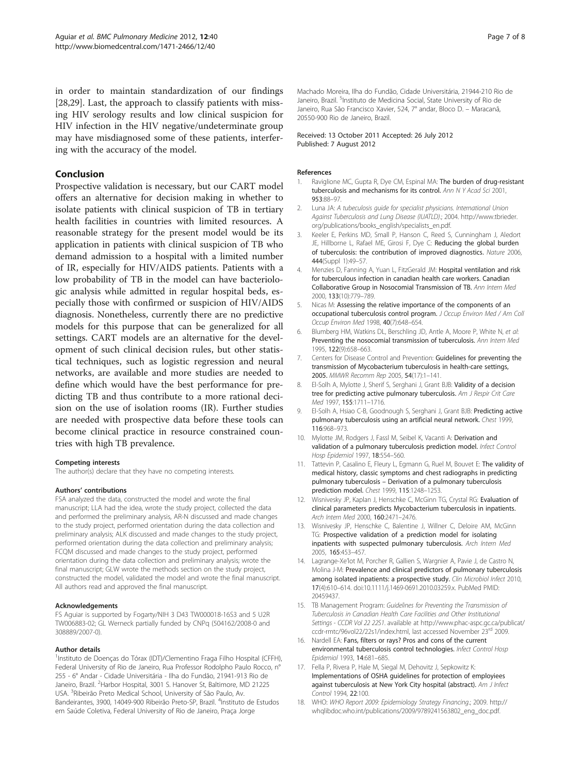<span id="page-6-0"></span>in order to maintain standardization of our findings [[28,29\]](#page-7-0). Last, the approach to classify patients with missing HIV serology results and low clinical suspicion for HIV infection in the HIV negative/undeterminate group may have misdiagnosed some of these patients, interfering with the accuracy of the model.

# Conclusion

Prospective validation is necessary, but our CART model offers an alternative for decision making in whether to isolate patients with clinical suspicion of TB in tertiary health facilities in countries with limited resources. A reasonable strategy for the present model would be its application in patients with clinical suspicion of TB who demand admission to a hospital with a limited number of IR, especially for HIV/AIDS patients. Patients with a low probability of TB in the model can have bacteriologic analysis while admitted in regular hospital beds, especially those with confirmed or suspicion of HIV/AIDS diagnosis. Nonetheless, currently there are no predictive models for this purpose that can be generalized for all settings. CART models are an alternative for the development of such clinical decision rules, but other statistical techniques, such as logistic regression and neural networks, are available and more studies are needed to define which would have the best performance for predicting TB and thus contribute to a more rational decision on the use of isolation rooms (IR). Further studies are needed with prospective data before these tools can become clinical practice in resource constrained countries with high TB prevalence.

#### Competing interests

The author(s) declare that they have no competing interests.

#### Authors' contributions

FSA analyzed the data, constructed the model and wrote the final manuscript; LLA had the idea, wrote the study project, collected the data and performed the preliminary analysis, AR-N discussed and made changes to the study project, performed orientation during the data collection and preliminary analysis; ALK discussed and made changes to the study project, performed orientation during the data collection and preliminary analysis; FCQM discussed and made changes to the study project, performed orientation during the data collection and preliminary analysis; wrote the final manuscript; GLW wrote the methods section on the study project, constructed the model, validated the model and wrote the final manuscript. All authors read and approved the final manuscript.

#### Acknowledgements

FS Aguiar is supported by Fogarty/NIH 3 D43 TW000018-16S3 and 5 U2R TW006883-02; GL Werneck partially funded by CNPq (504162/2008-0 and 308889/2007-0).

#### Author details

<sup>1</sup>Instituto de Doenças do Tórax (IDT)/Clementino Fraga Filho Hospital (CFFH), Federal University of Rio de Janeiro, Rua Professor Rodolpho Paulo Rocco, n° 255 - 6° Andar - Cidade Universitária - Ilha do Fundão, 21941-913 Rio de Janeiro, Brazil. <sup>2</sup>Harbor Hospital, 3001 S. Hanover St, Baltimore, MD 21225 USA. <sup>3</sup>Ribeirão Preto Medical School, University of São Paulo, Av. Bandeirantes, 3900, 14049-900 Ribeirão Preto-SP, Brazil. <sup>4</sup>Instituto de Estudos em Saúde Coletiva, Federal University of Rio de Janeiro, Praça Jorge

Machado Moreira, Ilha do Fundão, Cidade Universitária, 21944-210 Rio de Janeiro, Brazil. <sup>5</sup>Instituto de Medicina Social, State University of Rio de Janeiro, Rua São Francisco Xavier, 524, 7° andar, Bloco D. – Maracanã, 20550-900 Rio de Janeiro, Brazil.

#### Received: 13 October 2011 Accepted: 26 July 2012 Published: 7 August 2012

#### References

- 1. Raviglione MC, Gupta R, Dye CM, Espinal MA: The burden of drug-resistant tuberculosis and mechanisms for its control. Ann N Y Acad Sci 2001, 953:88–97.
- 2. Luna JA: A tubeculosis guide for specialist physicians. International Union Against Tuberculosis and Lung Disease (IUATLD).; 2004. [http://www.tbrieder.](http://www.tbrieder.org/publications/books_english/specialists_en.pdf) [org/publications/books\\_english/specialists\\_en.pdf.](http://www.tbrieder.org/publications/books_english/specialists_en.pdf)
- 3. Keeler E, Perkins MD, Small P, Hanson C, Reed S, Cunningham J, Aledort JE, Hillborne L, Rafael ME, Girosi F, Dye C: Reducing the global burden of tuberculosis: the contribution of improved diagnostics. Nature 2006, 444(Suppl 1):49–57.
- 4. Menzies D, Fanning A, Yuan L, FitzGerald JM: Hospital ventilation and risk for tuberculous infection in canadian health care workers. Canadian Collaborative Group in Nosocomial Transmission of TB. Ann Intern Med 2000, 133(10):779–789.
- 5. Nicas M: Assessing the relative importance of the components of an occupational tuberculosis control program. J Occup Environ Med / Am Coll Occup Environ Med 1998, 40(7):648–654.
- 6. Blumberg HM, Watkins DL, Berschling JD, Antle A, Moore P, White N, et al: Preventing the nosocomial transmission of tuberculosis. Ann Intern Med 1995, 122(9):658–663.
- 7. Centers for Disease Control and Prevention: Guidelines for preventing the transmission of Mycobacterium tuberculosis in health-care settings, 2005. MMWR Recomm Rep 2005, 54(17):1–141.
- 8. El-Solh A, Mylotte J, Sherif S, Serghani J, Grant BJB: Validity of a decision tree for predicting active pulmonary tuberculosis. Am J Respir Crit Care Med 1997, 155:1711–1716.
- 9. El-Solh A, Hsiao C-B, Goodnough S, Serghani J, Grant BJB: Predicting active pulmonary tuberculosis using an artificial neural network. Chest 1999, 116:968–973.
- 10. Mylotte JM, Rodgers J, Fassl M, Seibel K, Vacanti A: Derivation and validation of a pulmonary tuberculosis prediction model. Infect Control Hosp Epidemiol 1997, 18:554–560.
- 11. Tattevin P, Casalino E, Fleury L, Egmann G, Ruel M, Bouvet E: The validity of medical history, classic symptoms and chest radiographs in predicting pulmonary tuberculosis – Derivation of a pulmonary tuberculosis prediction model. Chest 1999, 115:1248–1253.
- 12. Wisnivesky JP, Kaplan J, Henschke C, McGinn TG, Crystal RG: Evaluation of clinical parameters predicts Mycobacterium tuberculosis in inpatients. Arch Intern Med 2000, 160:2471–2476.
- 13. Wisnivesky JP, Henschke C, Balentine J, Willner C, Deloire AM, McGinn TG: Prospective validation of a prediction model for isolating inpatients with suspected pulmonary tuberculosis. Arch Intern Med 2005, 165:453–457.
- 14. Lagrange-Xe'lot M, Porcher R, Gallien S, Wargnier A, Pavie J, de Castro N, Molina J-M: Prevalence and clinical predictors of pulmonary tuberculosis among isolated inpatients: a prospective study. Clin Microbiol Infect 2010, 17(4):610–614. doi:[10.1111/j.1469-0691.2010.03259.x](http://dx.doi.org/10.1111/j.1469-0691.2010.03259.x). PubMed PMID: 20459437.
- 15. TB Management Program: Guidelines for Preventing the Transmission of Tuberculosis in Canadian Health Care Facilities and Other Institutional Settings - CCDR Vol 22 22S1. available at [http://www.phac-aspc.gc.ca/publicat/](http://www.phac-aspc.gc.ca/publicat/ccdr-rmtc/96vol22/22s1/index.html) [ccdr-rmtc/96vol22/22s1/index.html](http://www.phac-aspc.gc.ca/publicat/ccdr-rmtc/96vol22/22s1/index.html), last accessed November 23rd 2009.
- 16. Nardell EA: Fans, filters or rays? Pros and cons of the current environmental tuberculosis control technologies. Infect Control Hosp Epidemiol 1993, 14:681–685.
- 17. Fella P, Rivera P, Hale M, Siegal M, Dehovitz J, Sepkowitz K: Implementations of OSHA guidelines for protection of employiees against tuberculosis at New York City hospital (abstract). Am J Infect Control 1994, 22:100.
- 18. WHO: WHO Report 2009: Epidemiology Strategy Financing.; 2009. [http://](http://whqlibdoc.who.int/publications/2009/9789241563802_eng_doc.pdf) [whqlibdoc.who.int/publications/2009/9789241563802\\_eng\\_doc.pdf](http://whqlibdoc.who.int/publications/2009/9789241563802_eng_doc.pdf).